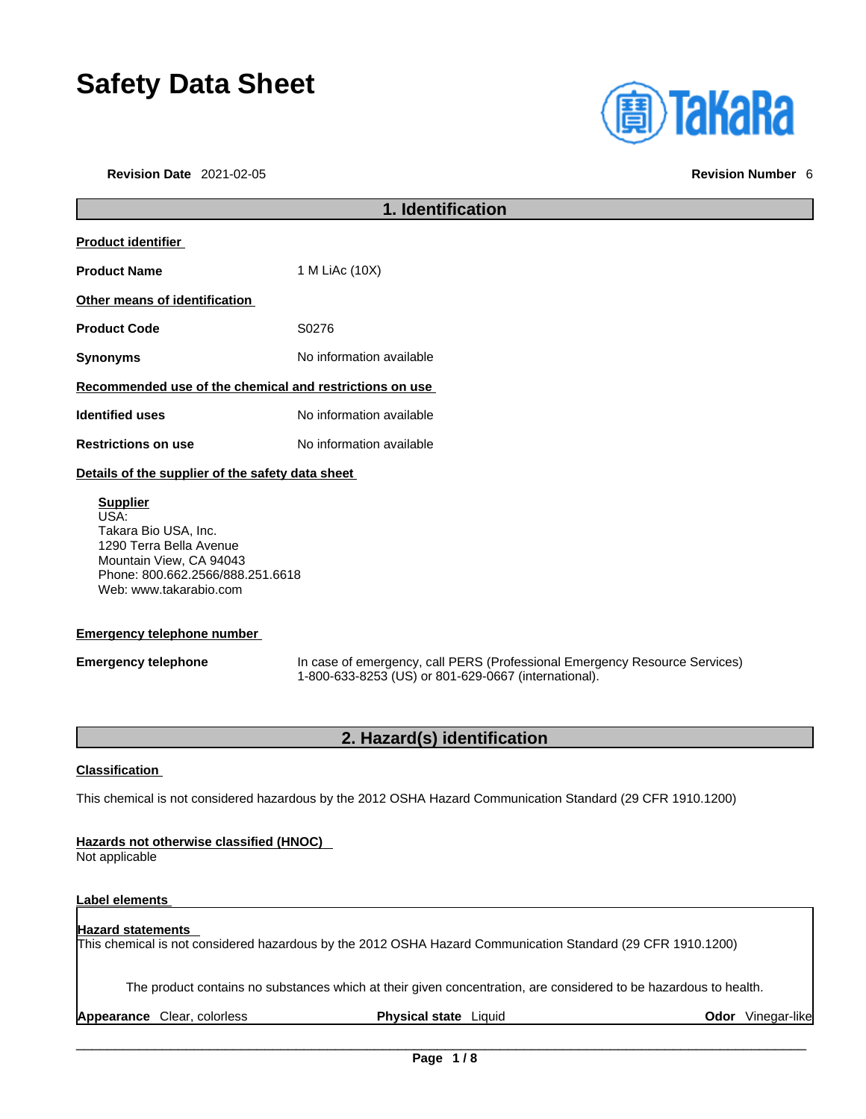# **Safety Data Sheet**

**Revision Date** 2021-02-05 **Revision Number** 6



# **1. Identification Product identifier Product Name** 1 M LiAc (10X) **Other means of identification Product Code 50276 Synonyms** No information available **Recommended use of the chemical and restrictions on use Identified uses** No information available **Restrictions on use** No information available **Details of the supplier of the safety data sheet Emergency telephone number Supplier** USA: Takara Bio USA, Inc. 1290 Terra Bella Avenue Mountain View, CA 94043 Phone: 800.662.2566/888.251.6618 Web: www.takarabio.com

**Emergency telephone** In case of emergency, call PERS (Professional Emergency Resource Services) 1-800-633-8253 (US) or 801-629-0667 (international).

# **2. Hazard(s) identification**

#### **Classification**

This chemical is not considered hazardous by the 2012 OSHA Hazard Communication Standard (29 CFR 1910.1200)

#### **Hazards not otherwise classified (HNOC)**

Not applicable

### **Label elements**

## **Hazard statements**  This chemical is not considered hazardous by the 2012 OSHA Hazard Communication Standard (29 CFR 1910.1200)

The product contains no substances which at their given concentration, are considered to be hazardous to health.

**Appearance Clear, colorless <b>Physical state** Liquid **Constant Clear Odor** Vinegar-like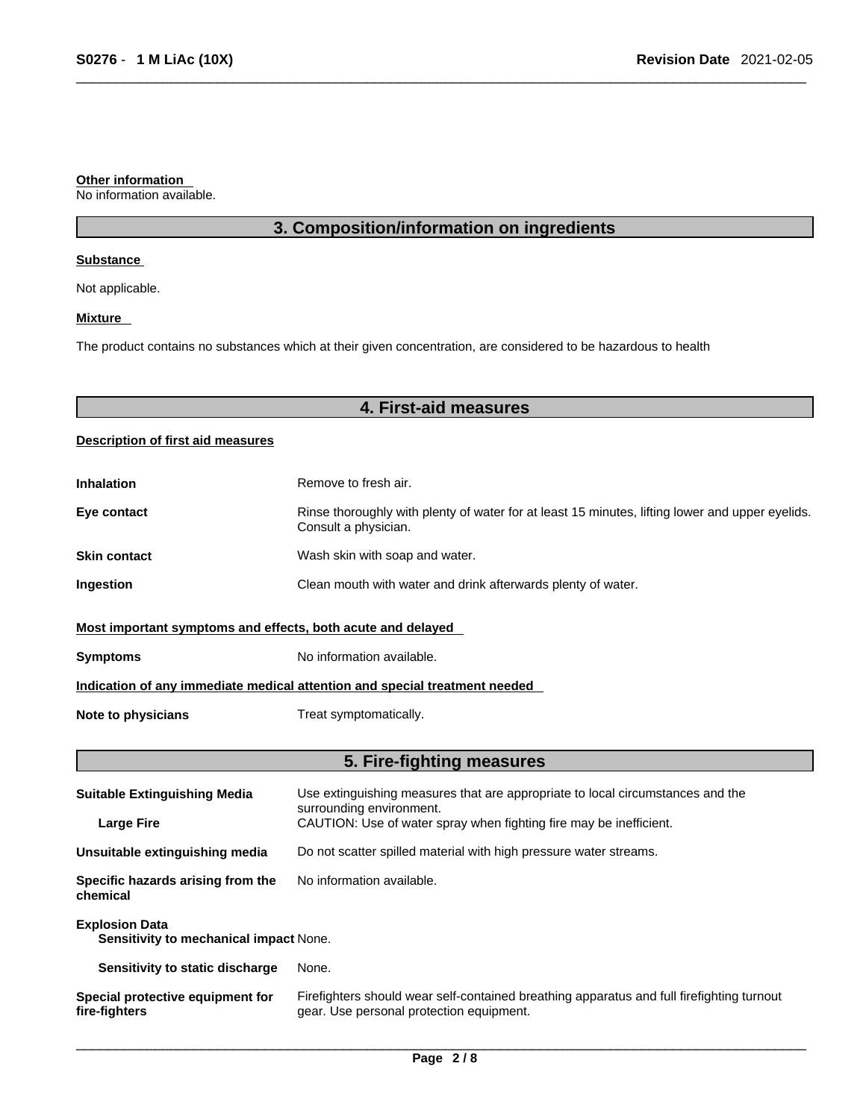#### **Other information**

No information available.

# **3. Composition/information on ingredients**

#### **Substance**

Not applicable.

#### **Mixture**

The product contains no substances which at their given concentration, are considered to be hazardous to health

# **4. First-aid measures**

### **Description of first aid measures**

| <b>Inhalation</b>                                                          | Remove to fresh air.                                                                                                    |  |
|----------------------------------------------------------------------------|-------------------------------------------------------------------------------------------------------------------------|--|
| Eye contact                                                                | Rinse thoroughly with plenty of water for at least 15 minutes, lifting lower and upper eyelids.<br>Consult a physician. |  |
| <b>Skin contact</b>                                                        | Wash skin with soap and water.                                                                                          |  |
| <b>Ingestion</b>                                                           | Clean mouth with water and drink afterwards plenty of water.                                                            |  |
| Most important symptoms and effects, both acute and delayed                |                                                                                                                         |  |
| <b>Symptoms</b>                                                            | No information available.                                                                                               |  |
| Indication of any immediate medical attention and special treatment needed |                                                                                                                         |  |
| Note to physicians                                                         | Treat symptomatically.                                                                                                  |  |

# **5. Fire-fighting measures**

| <b>Suitable Extinguishing Media</b>                             | Use extinguishing measures that are appropriate to local circumstances and the<br>surrounding environment.                            |  |
|-----------------------------------------------------------------|---------------------------------------------------------------------------------------------------------------------------------------|--|
| <b>Large Fire</b>                                               | CAUTION: Use of water spray when fighting fire may be inefficient.                                                                    |  |
| Unsuitable extinguishing media                                  | Do not scatter spilled material with high pressure water streams.                                                                     |  |
| Specific hazards arising from the<br>chemical                   | No information available.                                                                                                             |  |
| <b>Explosion Data</b><br>Sensitivity to mechanical impact None. |                                                                                                                                       |  |
| Sensitivity to static discharge                                 | None.                                                                                                                                 |  |
| Special protective equipment for<br>fire-fighters               | Firefighters should wear self-contained breathing apparatus and full firefighting turnout<br>gear. Use personal protection equipment. |  |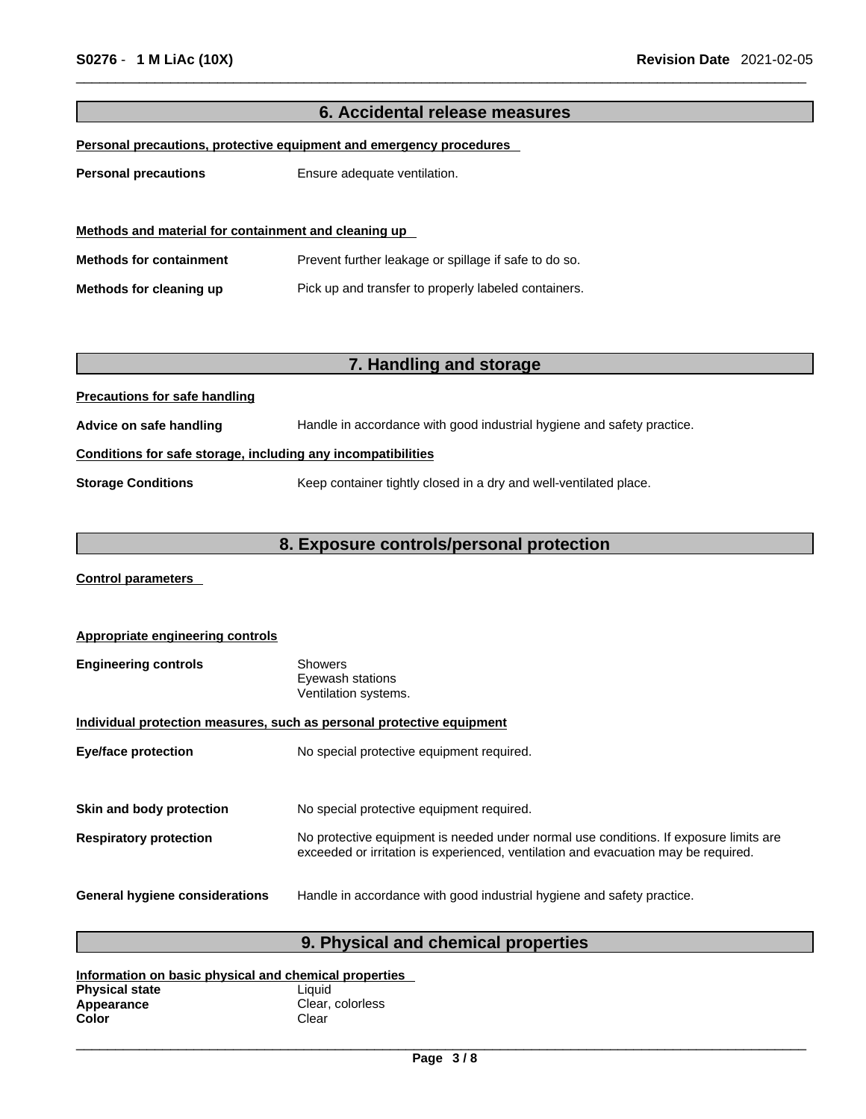| 6. Accidental release measures                                      |                                                                        |  |
|---------------------------------------------------------------------|------------------------------------------------------------------------|--|
| Personal precautions, protective equipment and emergency procedures |                                                                        |  |
| <b>Personal precautions</b>                                         | Ensure adequate ventilation.                                           |  |
|                                                                     |                                                                        |  |
| Methods and material for containment and cleaning up                |                                                                        |  |
|                                                                     |                                                                        |  |
| <b>Methods for containment</b>                                      | Prevent further leakage or spillage if safe to do so.                  |  |
| Methods for cleaning up                                             | Pick up and transfer to properly labeled containers.                   |  |
|                                                                     |                                                                        |  |
|                                                                     |                                                                        |  |
|                                                                     | 7. Handling and storage                                                |  |
| <b>Precautions for safe handling</b>                                |                                                                        |  |
| Advice on safe handling                                             | Handle in accordance with good industrial hygiene and safety practice. |  |
| Conditions for safe storage, including any incompatibilities        |                                                                        |  |
| <b>Storage Conditions</b>                                           | Keep container tightly closed in a dry and well-ventilated place.      |  |
|                                                                     |                                                                        |  |
| 8. Exposure controls/personal protection                            |                                                                        |  |

**Control parameters** 

| Appropriate engineering controls                                      |                                                                                                                                                                             |  |
|-----------------------------------------------------------------------|-----------------------------------------------------------------------------------------------------------------------------------------------------------------------------|--|
| <b>Engineering controls</b>                                           | <b>Showers</b><br>Eyewash stations<br>Ventilation systems.                                                                                                                  |  |
| Individual protection measures, such as personal protective equipment |                                                                                                                                                                             |  |
| <b>Eye/face protection</b>                                            | No special protective equipment required.                                                                                                                                   |  |
|                                                                       |                                                                                                                                                                             |  |
| Skin and body protection                                              | No special protective equipment required.                                                                                                                                   |  |
| <b>Respiratory protection</b>                                         | No protective equipment is needed under normal use conditions. If exposure limits are<br>exceeded or irritation is experienced, ventilation and evacuation may be required. |  |
| <b>General hygiene considerations</b>                                 | Handle in accordance with good industrial hygiene and safety practice.                                                                                                      |  |

# **9. Physical and chemical properties**

| Information on basic physical and chemical properties |                  |  |
|-------------------------------------------------------|------------------|--|
| <b>Physical state</b>                                 | Liauid           |  |
| Appearance                                            | Clear, colorless |  |
| Color                                                 | Clear            |  |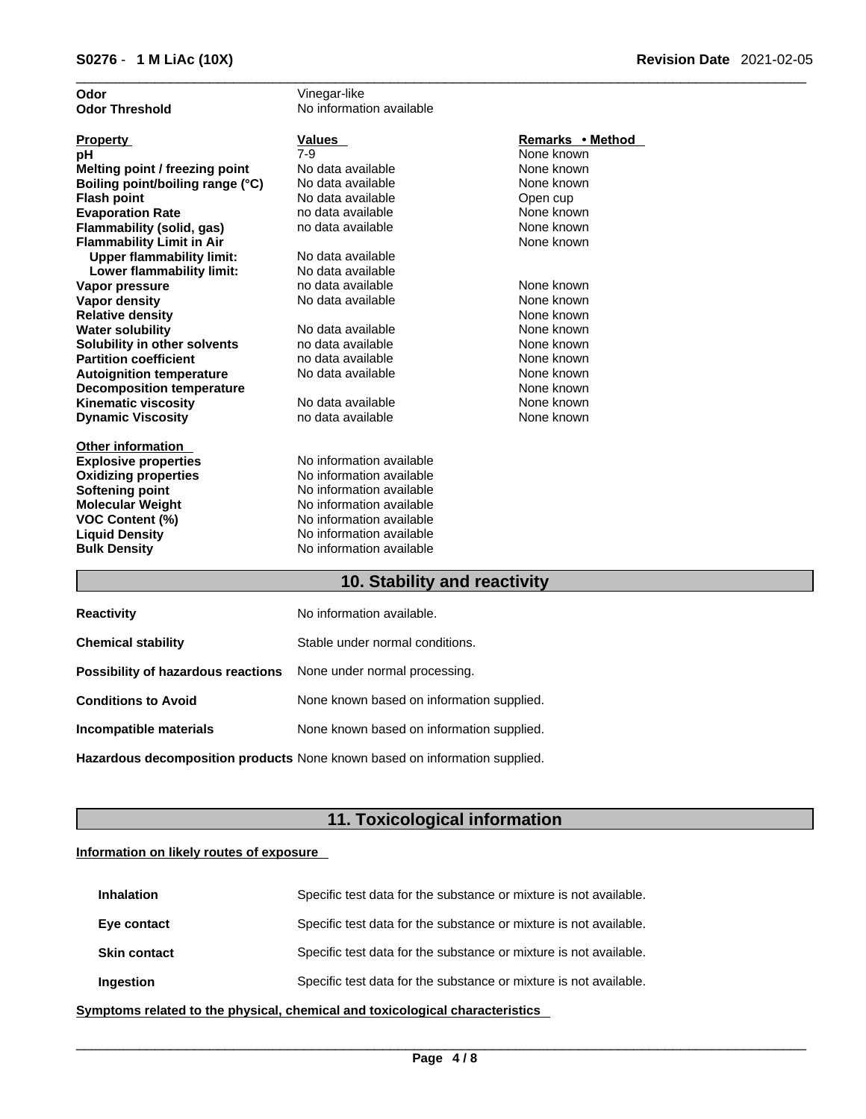| Odor                             | Vinegar-like             |                  |
|----------------------------------|--------------------------|------------------|
| Odor Threshold                   | No information available |                  |
| <b>Property</b>                  | Values                   | Remarks • Method |
| pН                               | $7-9$                    | None known       |
| Melting point / freezing point   | No data available        | None known       |
| Boiling point/boiling range (°C) | No data available        | None known       |
| Flash point                      | No data available        | Open cup         |
| <b>Evaporation Rate</b>          | no data available        | None known       |
| Flammability (solid, gas)        | no data available        | None known       |
| <b>Flammability Limit in Air</b> |                          | None known       |
| <b>Upper flammability limit:</b> | No data available        |                  |
| Lower flammability limit:        | No data available        |                  |
| Vapor pressure                   | no data available        | None known       |
| Vapor density                    | No data available        | None known       |
| <b>Relative density</b>          |                          | None known       |
| Water solubility                 | No data available        | None known       |
| Solubility in other solvents     | no data available        | None known       |
| <b>Partition coefficient</b>     | no data available        | None known       |
| <b>Autoignition temperature</b>  | No data available        | None known       |
| <b>Decomposition temperature</b> |                          | None known       |
| Kinematic viscosity              | No data available        | None known       |
| <b>Dynamic Viscosity</b>         | no data available        | None known       |
| Other information                |                          |                  |
| <b>Explosive properties</b>      | No information available |                  |
| <b>Oxidizing properties</b>      | No information available |                  |
| Softening point                  | No information available |                  |
| Molecular Weight                 | No information available |                  |
| <b>VOC Content (%)</b>           | No information available |                  |
| <b>Liquid Density</b>            | No information available |                  |
| <b>Bulk Density</b>              | No information available |                  |
|                                  | .                        | 20 H H 20        |

### **10. Stability and reactivity**

| <b>Reactivity</b>                                                       | No information available.                 |
|-------------------------------------------------------------------------|-------------------------------------------|
| <b>Chemical stability</b>                                               | Stable under normal conditions.           |
| <b>Possibility of hazardous reactions</b> None under normal processing. |                                           |
| <b>Conditions to Avoid</b>                                              | None known based on information supplied. |
| Incompatible materials                                                  | None known based on information supplied. |
|                                                                         |                                           |

**Hazardous decomposition products** None known based on information supplied.

# **11. Toxicological information**

### **Information on likely routes of exposure**

| <b>Inhalation</b>   | Specific test data for the substance or mixture is not available. |
|---------------------|-------------------------------------------------------------------|
| Eye contact         | Specific test data for the substance or mixture is not available. |
| <b>Skin contact</b> | Specific test data for the substance or mixture is not available. |
| Ingestion           | Specific test data for the substance or mixture is not available. |

**<u>Symptoms related to the physical, chemical and toxicological characteristics</u>**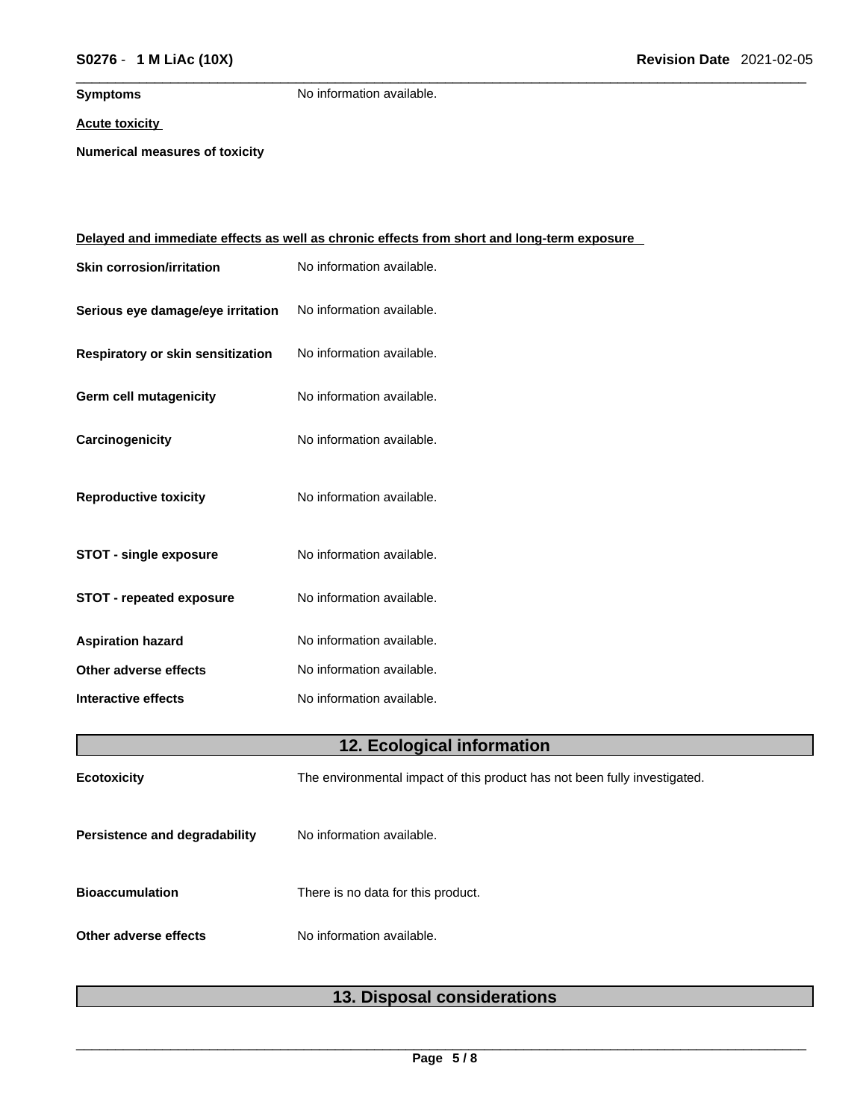**Symptoms** No information available.

#### **Acute toxicity**

**Numerical measures of toxicity**

|                                   | <u>Delayed and immediate effects as well as chronic effects from short and long-term exposure</u> |
|-----------------------------------|---------------------------------------------------------------------------------------------------|
| <b>Skin corrosion/irritation</b>  | No information available.                                                                         |
| Serious eye damage/eye irritation | No information available.                                                                         |
| Respiratory or skin sensitization | No information available.                                                                         |
| Germ cell mutagenicity            | No information available.                                                                         |
| Carcinogenicity                   | No information available.                                                                         |
| <b>Reproductive toxicity</b>      | No information available.                                                                         |
| <b>STOT - single exposure</b>     | No information available.                                                                         |
| <b>STOT - repeated exposure</b>   | No information available.                                                                         |
| <b>Aspiration hazard</b>          | No information available.                                                                         |
| Other adverse effects             | No information available.                                                                         |
| <b>Interactive effects</b>        | No information available.                                                                         |
|                                   | 12. Ecological information                                                                        |
| <b>Ecotoxicity</b>                | The environmental impact of this product has not been fully investigated.                         |
| Persistence and degradability     | No information available.                                                                         |
| <b>Bioaccumulation</b>            | There is no data for this product.                                                                |
| Other adverse effects             | No information available.                                                                         |

# **13. Disposal considerations**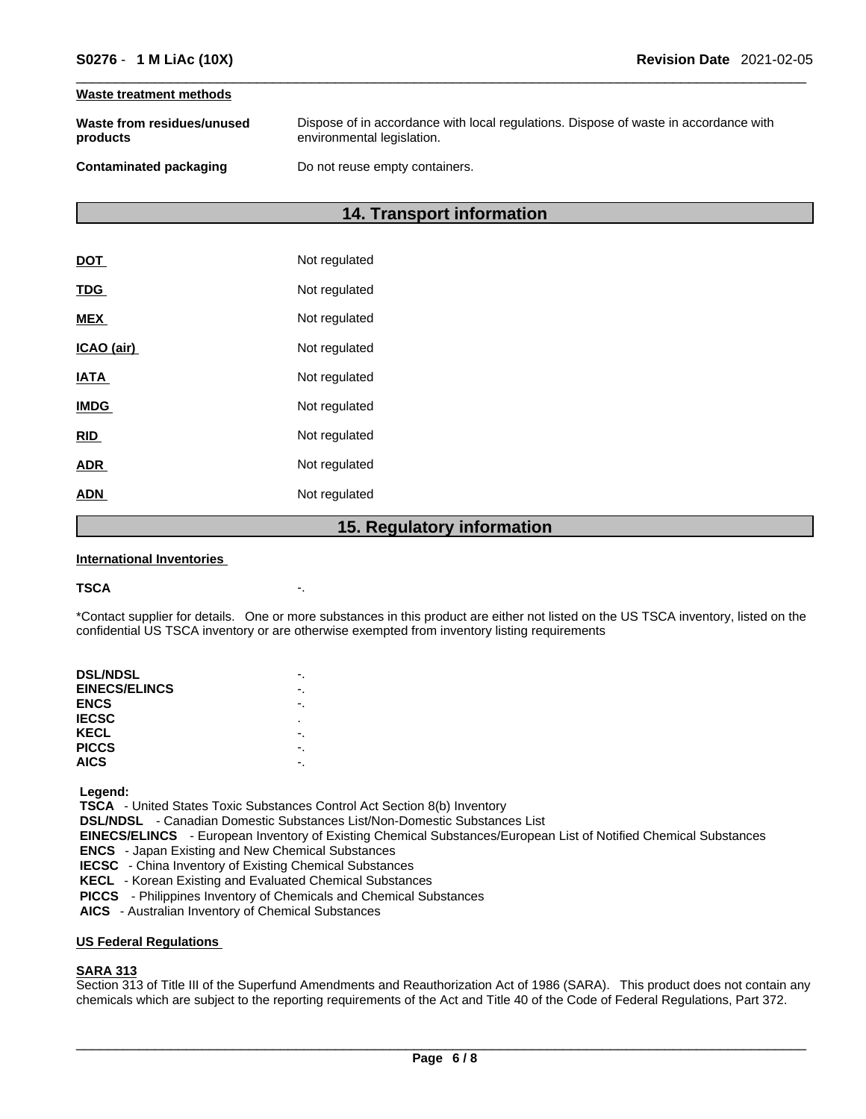#### **Waste treatment methods**

| Waste from residues/unused    | Dispose of in accordance with local regulations. Dispose of waste in accordance with |
|-------------------------------|--------------------------------------------------------------------------------------|
| products                      | environmental legislation.                                                           |
| <b>Contaminated packaging</b> | Do not reuse empty containers.                                                       |

# **14. Transport information**

|             | 1 F<br><b>Dogulator</b> |
|-------------|-------------------------|
| <b>ADN</b>  | Not regulated           |
| <b>ADR</b>  | Not regulated           |
| <b>RID</b>  | Not regulated           |
| <b>IMDG</b> | Not regulated           |
| <b>IATA</b> | Not regulated           |
| ICAO (air)  | Not regulated           |
| <b>MEX</b>  | Not regulated           |
| <b>TDG</b>  | Not regulated           |
| <b>DOT</b>  | Not regulated           |

### **15. Regulatory information**

#### **International Inventories**

#### **TSCA** -.

\*Contact supplier for details. One or more substances in this product are either not listed on the US TSCA inventory, listed on the confidential US TSCA inventory or are otherwise exempted from inventory listing requirements

| <b>DSL/NDSL</b>      |   |
|----------------------|---|
| <b>EINECS/ELINCS</b> |   |
| <b>ENCS</b>          |   |
| <b>IECSC</b>         | ٠ |
| KECL                 |   |
| <b>PICCS</b>         |   |
| <b>AICS</b>          |   |
|                      |   |

 **Legend:** 

 **TSCA** - United States Toxic Substances Control Act Section 8(b) Inventory

 **DSL/NDSL** - Canadian Domestic Substances List/Non-Domestic Substances List

 **EINECS/ELINCS** - European Inventory of Existing Chemical Substances/European List of Notified Chemical Substances

 **ENCS** - Japan Existing and New Chemical Substances

 **IECSC** - China Inventory of Existing Chemical Substances

 **KECL** - Korean Existing and Evaluated Chemical Substances

 **PICCS** - Philippines Inventory of Chemicals and Chemical Substances

 **AICS** - Australian Inventory of Chemical Substances

#### **US Federal Regulations**

#### **SARA 313**

Section 313 of Title III of the Superfund Amendments and Reauthorization Act of 1986 (SARA). This product does not contain any chemicals which are subject to the reporting requirements of the Act and Title 40 of the Code of Federal Regulations, Part 372.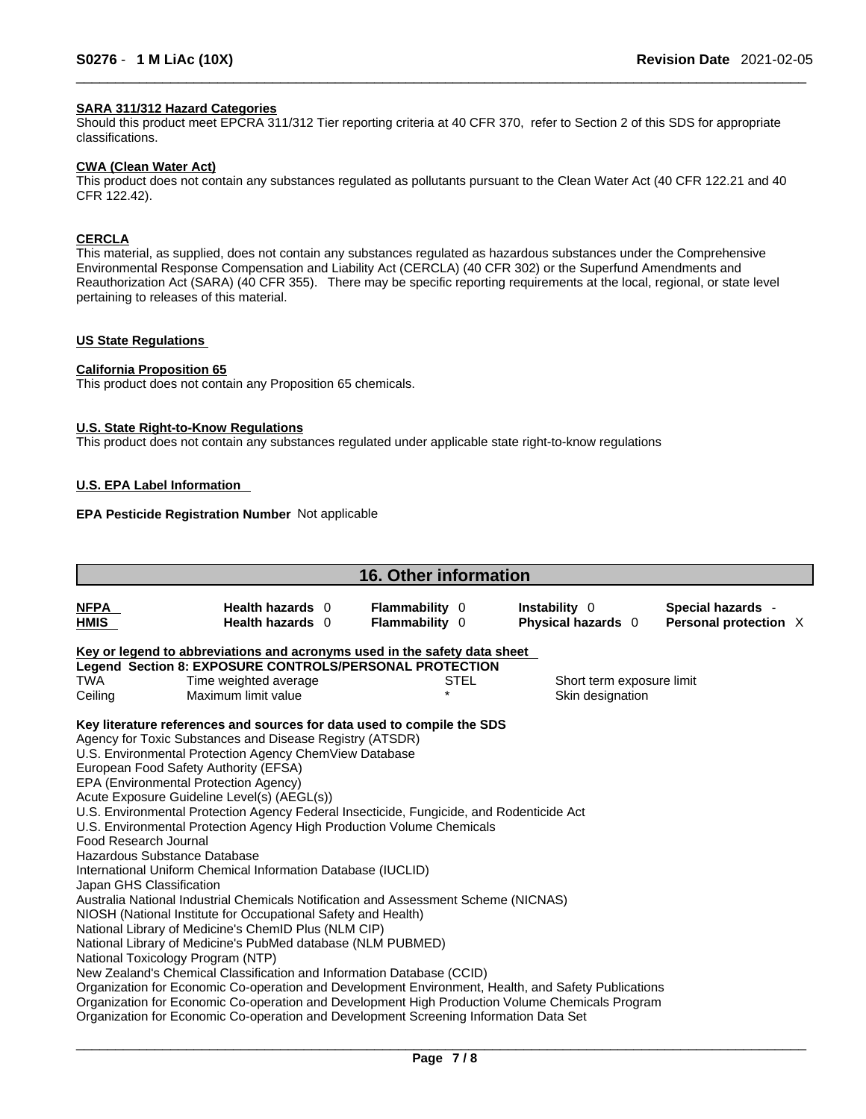#### **SARA 311/312 Hazard Categories**

Should this product meet EPCRA 311/312 Tier reporting criteria at 40 CFR 370, refer to Section 2 of this SDS for appropriate classifications.

#### **CWA (Clean WaterAct)**

This product does not contain any substances regulated as pollutants pursuant to the Clean Water Act (40 CFR 122.21 and 40 CFR 122.42).

#### **CERCLA**

This material, as supplied, does not contain any substances regulated as hazardous substances under the Comprehensive Environmental Response Compensation and Liability Act (CERCLA) (40 CFR 302) or the Superfund Amendments and Reauthorization Act (SARA) (40 CFR 355). There may be specific reporting requirements at the local, regional, or state level pertaining to releases of this material.

#### **US State Regulations**

#### **California Proposition 65**

This product does not contain any Proposition 65 chemicals.

#### **U.S. State Right-to-Know Regulations**

This product does not contain any substances regulated under applicable state right-to-know regulations

#### **U.S. EPA Label Information**

#### **EPA Pesticide Registration Number** Not applicable